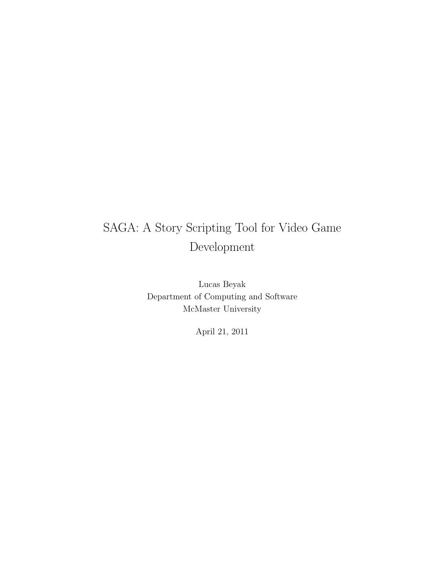## SAGA: A Story Scripting Tool for Video Game Development

Lucas Beyak Department of Computing and Software McMaster University

April 21, 2011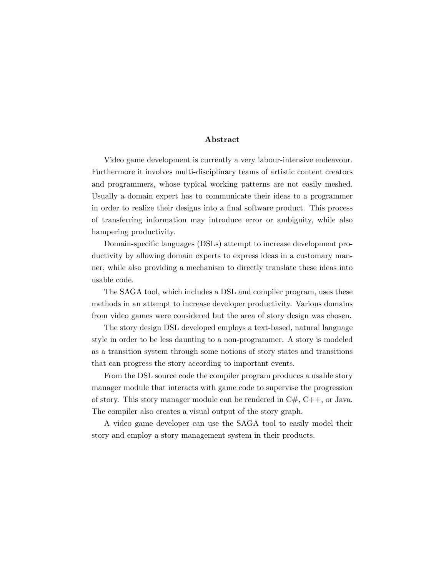#### Abstract

Video game development is currently a very labour-intensive endeavour. Furthermore it involves multi-disciplinary teams of artistic content creators and programmers, whose typical working patterns are not easily meshed. Usually a domain expert has to communicate their ideas to a programmer in order to realize their designs into a final software product. This process of transferring information may introduce error or ambiguity, while also hampering productivity.

Domain-specific languages (DSLs) attempt to increase development productivity by allowing domain experts to express ideas in a customary manner, while also providing a mechanism to directly translate these ideas into usable code.

The SAGA tool, which includes a DSL and compiler program, uses these methods in an attempt to increase developer productivity. Various domains from video games were considered but the area of story design was chosen.

The story design DSL developed employs a text-based, natural language style in order to be less daunting to a non-programmer. A story is modeled as a transition system through some notions of story states and transitions that can progress the story according to important events.

From the DSL source code the compiler program produces a usable story manager module that interacts with game code to supervise the progression of story. This story manager module can be rendered in  $C#$ ,  $C++$ , or Java. The compiler also creates a visual output of the story graph.

A video game developer can use the SAGA tool to easily model their story and employ a story management system in their products.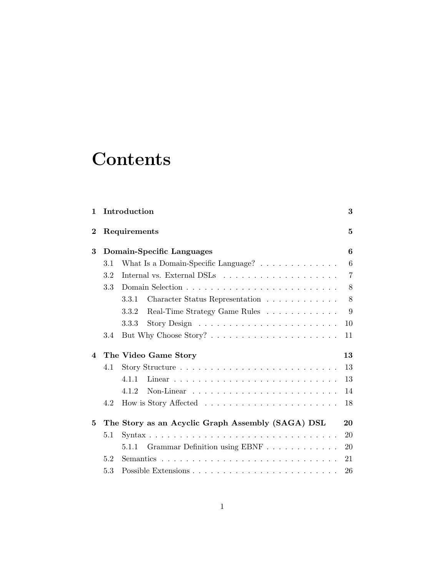## **Contents**

| $\mathbf{1}$             |     | Introduction                                                                  | 3              |
|--------------------------|-----|-------------------------------------------------------------------------------|----------------|
| $\bf{2}$                 |     | Requirements                                                                  | $\overline{5}$ |
| 3                        |     | Domain-Specific Languages                                                     | 6              |
|                          | 3.1 | What Is a Domain-Specific Language? $\dots \dots \dots \dots$                 | 6              |
|                          | 3.2 |                                                                               | $\overline{7}$ |
|                          | 3.3 |                                                                               | 8              |
|                          |     | Character Status Representation<br>3.3.1                                      | 8              |
|                          |     | Real-Time Strategy Game Rules<br>3.3.2                                        | 9              |
|                          |     | Story Design $\ldots \ldots \ldots \ldots \ldots \ldots \ldots$<br>3.3.3      | 10             |
|                          | 3.4 |                                                                               | 11             |
| $\overline{\mathcal{A}}$ |     | The Video Game Story                                                          | 13             |
|                          | 4.1 |                                                                               | 13             |
|                          |     | 4.1.1                                                                         | 13             |
|                          |     | 4.1.2<br>Non-Linear $\ldots \ldots \ldots \ldots \ldots \ldots \ldots \ldots$ | 14             |
|                          | 4.2 |                                                                               | 18             |
| 5                        |     | The Story as an Acyclic Graph Assembly (SAGA) DSL                             | 20             |
|                          | 5.1 |                                                                               | 20             |
|                          |     | Grammar Definition using EBNF<br>5.1.1                                        | 20             |
|                          | 5.2 |                                                                               | 21             |
|                          | 5.3 |                                                                               | 26             |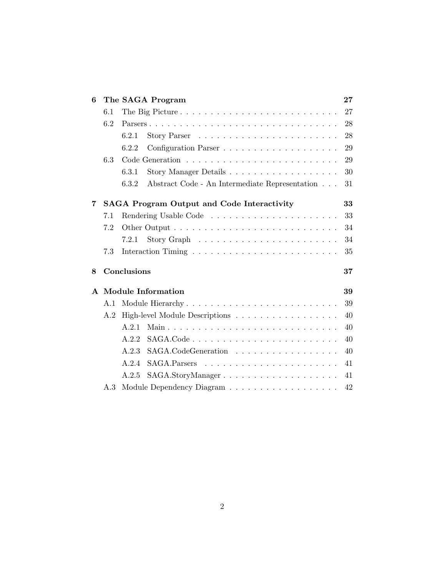| 6            |     | The SAGA Program                                        | 27 |
|--------------|-----|---------------------------------------------------------|----|
|              | 6.1 |                                                         | 27 |
|              | 6.2 |                                                         | 28 |
|              |     | 6.2.1                                                   | 28 |
|              |     | 6.2.2                                                   | 29 |
|              | 6.3 |                                                         | 29 |
|              |     | 6.3.1                                                   | 30 |
|              |     | Abstract Code - An Intermediate Representation<br>6.3.2 | 31 |
| 7            |     | <b>SAGA Program Output and Code Interactivity</b>       | 33 |
|              | 7.1 |                                                         | 33 |
|              | 7.2 |                                                         | 34 |
|              |     | 7.2.1                                                   | 34 |
|              | 7.3 |                                                         | 35 |
| 8            |     | Conclusions                                             | 37 |
| $\mathbf{A}$ |     | <b>Module Information</b>                               | 39 |
|              | A.1 |                                                         | 39 |
|              | A.2 | High-level Module Descriptions                          | 40 |
|              |     | A.2.1                                                   | 40 |
|              |     | A.2.2                                                   | 40 |
|              |     | A.2.3<br>SAGA.CodeGeneration                            | 40 |
|              |     | A.2.4                                                   | 41 |
|              |     | SAGA.StoryManager<br>A.2.5                              | 41 |
|              | A.3 |                                                         | 42 |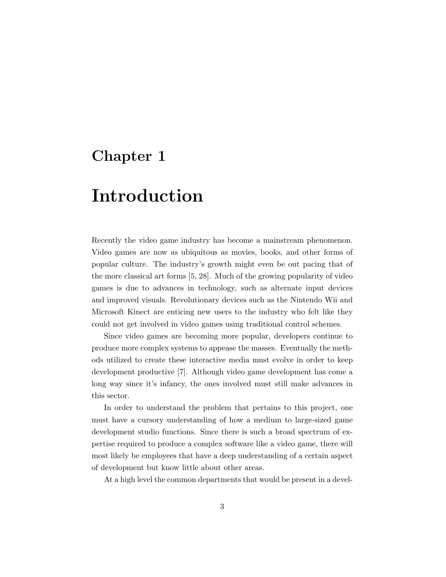## Chapter 1

## Introduction

Recently the video game industry has become a mainstream phenomenon. Video games are now as ubiquitous as movies, books, and other forms of popular culture. The industry's growth might even be out pacing that of the more classical art forms [5, 28]. Much of the growing popularity of video games is due to advances in technology, such as alternate input devices and improved visuals. Revolutionary devices such as the Nintendo Wii and Microsoft Kinect are enticing new users to the industry who felt like they could not get involved in video games using traditional control schemes.

Since video games are becoming more popular, developers continue to produce more complex systems to appease the masses. Eventually the methods utilized to create these interactive media must evolve in order to keep development productive [7]. Although video game development has come a long way since it's infancy, the ones involved must still make advances in this sector.

In order to understand the problem that pertains to this project, one must have a cursory understanding of how a medium to large-sized game development studio functions. Since there is such a broad spectrum of expertise required to produce a complex software like a video game, there will most likely be employees that have a deep understanding of a certain aspect of development but know little about other areas.

At a high level the common departments that would be present in a devel-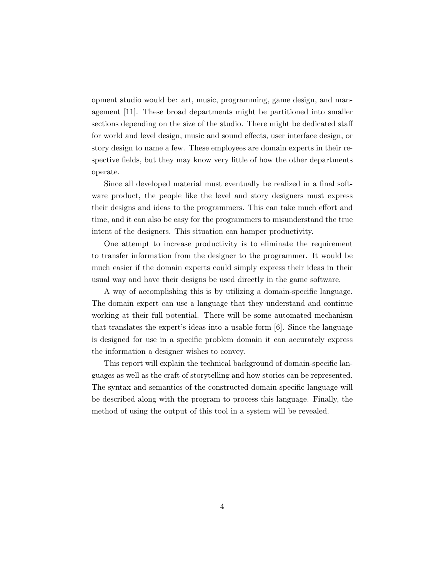opment studio would be: art, music, programming, game design, and management [11]. These broad departments might be partitioned into smaller sections depending on the size of the studio. There might be dedicated staff for world and level design, music and sound effects, user interface design, or story design to name a few. These employees are domain experts in their respective fields, but they may know very little of how the other departments operate.

Since all developed material must eventually be realized in a final software product, the people like the level and story designers must express their designs and ideas to the programmers. This can take much effort and time, and it can also be easy for the programmers to misunderstand the true intent of the designers. This situation can hamper productivity.

One attempt to increase productivity is to eliminate the requirement to transfer information from the designer to the programmer. It would be much easier if the domain experts could simply express their ideas in their usual way and have their designs be used directly in the game software.

A way of accomplishing this is by utilizing a domain-specific language. The domain expert can use a language that they understand and continue working at their full potential. There will be some automated mechanism that translates the expert's ideas into a usable form [6]. Since the language is designed for use in a specific problem domain it can accurately express the information a designer wishes to convey.

This report will explain the technical background of domain-specific languages as well as the craft of storytelling and how stories can be represented. The syntax and semantics of the constructed domain-specific language will be described along with the program to process this language. Finally, the method of using the output of this tool in a system will be revealed.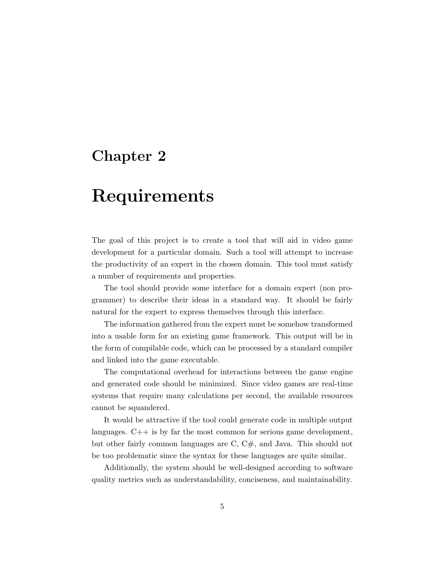## Chapter 2

## Requirements

The goal of this project is to create a tool that will aid in video game development for a particular domain. Such a tool will attempt to increase the productivity of an expert in the chosen domain. This tool must satisfy a number of requirements and properties.

The tool should provide some interface for a domain expert (non programmer) to describe their ideas in a standard way. It should be fairly natural for the expert to express themselves through this interface.

The information gathered from the expert must be somehow transformed into a usable form for an existing game framework. This output will be in the form of compilable code, which can be processed by a standard compiler and linked into the game executable.

The computational overhead for interactions between the game engine and generated code should be minimized. Since video games are real-time systems that require many calculations per second, the available resources cannot be squandered.

It would be attractive if the tool could generate code in multiple output languages. C++ is by far the most common for serious game development, but other fairly common languages are C, C#, and Java. This should not be too problematic since the syntax for these languages are quite similar.

Additionally, the system should be well-designed according to software quality metrics such as understandability, conciseness, and maintainability.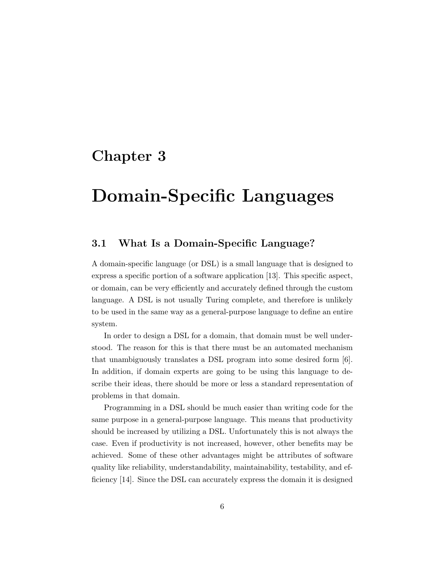## Chapter 3

## Domain-Specific Languages

### 3.1 What Is a Domain-Specific Language?

A domain-specific language (or DSL) is a small language that is designed to express a specific portion of a software application [13]. This specific aspect, or domain, can be very efficiently and accurately defined through the custom language. A DSL is not usually Turing complete, and therefore is unlikely to be used in the same way as a general-purpose language to define an entire system.

In order to design a DSL for a domain, that domain must be well understood. The reason for this is that there must be an automated mechanism that unambiguously translates a DSL program into some desired form [6]. In addition, if domain experts are going to be using this language to describe their ideas, there should be more or less a standard representation of problems in that domain.

Programming in a DSL should be much easier than writing code for the same purpose in a general-purpose language. This means that productivity should be increased by utilizing a DSL. Unfortunately this is not always the case. Even if productivity is not increased, however, other benefits may be achieved. Some of these other advantages might be attributes of software quality like reliability, understandability, maintainability, testability, and efficiency [14]. Since the DSL can accurately express the domain it is designed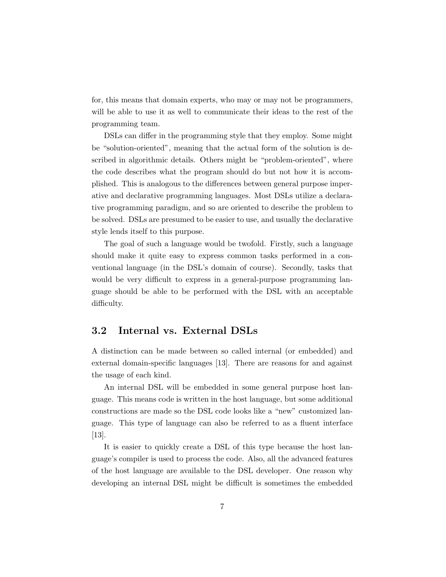for, this means that domain experts, who may or may not be programmers, will be able to use it as well to communicate their ideas to the rest of the programming team.

DSLs can differ in the programming style that they employ. Some might be "solution-oriented", meaning that the actual form of the solution is described in algorithmic details. Others might be "problem-oriented", where the code describes what the program should do but not how it is accomplished. This is analogous to the differences between general purpose imperative and declarative programming languages. Most DSLs utilize a declarative programming paradigm, and so are oriented to describe the problem to be solved. DSLs are presumed to be easier to use, and usually the declarative style lends itself to this purpose.

The goal of such a language would be twofold. Firstly, such a language should make it quite easy to express common tasks performed in a conventional language (in the DSL's domain of course). Secondly, tasks that would be very difficult to express in a general-purpose programming language should be able to be performed with the DSL with an acceptable difficulty.

### 3.2 Internal vs. External DSLs

A distinction can be made between so called internal (or embedded) and external domain-specific languages [13]. There are reasons for and against the usage of each kind.

An internal DSL will be embedded in some general purpose host language. This means code is written in the host language, but some additional constructions are made so the DSL code looks like a "new" customized language. This type of language can also be referred to as a fluent interface [13].

It is easier to quickly create a DSL of this type because the host language's compiler is used to process the code. Also, all the advanced features of the host language are available to the DSL developer. One reason why developing an internal DSL might be difficult is sometimes the embedded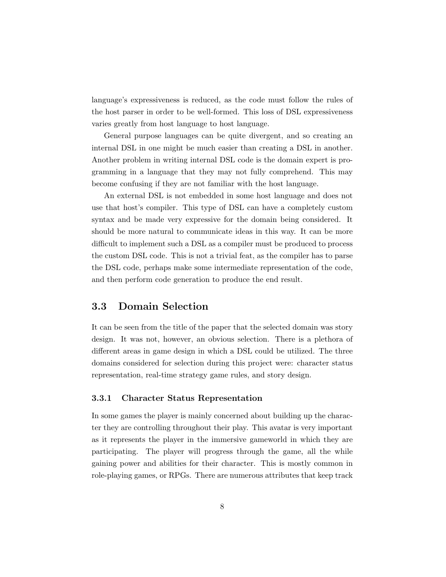language's expressiveness is reduced, as the code must follow the rules of the host parser in order to be well-formed. This loss of DSL expressiveness varies greatly from host language to host language.

General purpose languages can be quite divergent, and so creating an internal DSL in one might be much easier than creating a DSL in another. Another problem in writing internal DSL code is the domain expert is programming in a language that they may not fully comprehend. This may become confusing if they are not familiar with the host language.

An external DSL is not embedded in some host language and does not use that host's compiler. This type of DSL can have a completely custom syntax and be made very expressive for the domain being considered. It should be more natural to communicate ideas in this way. It can be more difficult to implement such a DSL as a compiler must be produced to process the custom DSL code. This is not a trivial feat, as the compiler has to parse the DSL code, perhaps make some intermediate representation of the code, and then perform code generation to produce the end result.

### 3.3 Domain Selection

It can be seen from the title of the paper that the selected domain was story design. It was not, however, an obvious selection. There is a plethora of different areas in game design in which a DSL could be utilized. The three domains considered for selection during this project were: character status representation, real-time strategy game rules, and story design.

#### 3.3.1 Character Status Representation

In some games the player is mainly concerned about building up the character they are controlling throughout their play. This avatar is very important as it represents the player in the immersive gameworld in which they are participating. The player will progress through the game, all the while gaining power and abilities for their character. This is mostly common in role-playing games, or RPGs. There are numerous attributes that keep track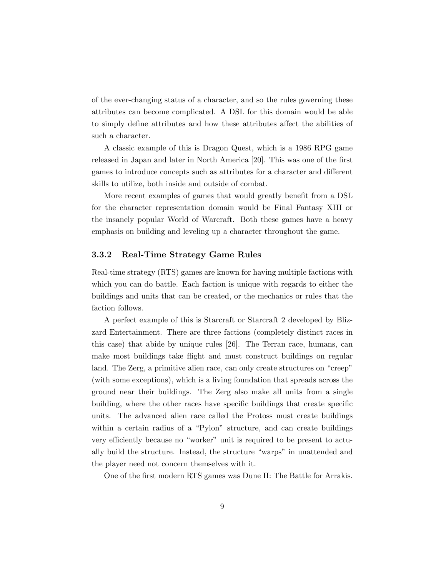of the ever-changing status of a character, and so the rules governing these attributes can become complicated. A DSL for this domain would be able to simply define attributes and how these attributes affect the abilities of such a character.

A classic example of this is Dragon Quest, which is a 1986 RPG game released in Japan and later in North America [20]. This was one of the first games to introduce concepts such as attributes for a character and different skills to utilize, both inside and outside of combat.

More recent examples of games that would greatly benefit from a DSL for the character representation domain would be Final Fantasy XIII or the insanely popular World of Warcraft. Both these games have a heavy emphasis on building and leveling up a character throughout the game.

#### 3.3.2 Real-Time Strategy Game Rules

Real-time strategy (RTS) games are known for having multiple factions with which you can do battle. Each faction is unique with regards to either the buildings and units that can be created, or the mechanics or rules that the faction follows.

A perfect example of this is Starcraft or Starcraft 2 developed by Blizzard Entertainment. There are three factions (completely distinct races in this case) that abide by unique rules [26]. The Terran race, humans, can make most buildings take flight and must construct buildings on regular land. The Zerg, a primitive alien race, can only create structures on "creep" (with some exceptions), which is a living foundation that spreads across the ground near their buildings. The Zerg also make all units from a single building, where the other races have specific buildings that create specific units. The advanced alien race called the Protoss must create buildings within a certain radius of a "Pylon" structure, and can create buildings very efficiently because no "worker" unit is required to be present to actually build the structure. Instead, the structure "warps" in unattended and the player need not concern themselves with it.

One of the first modern RTS games was Dune II: The Battle for Arrakis.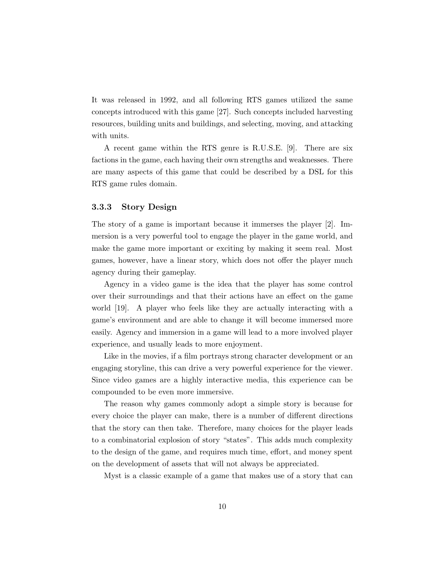It was released in 1992, and all following RTS games utilized the same concepts introduced with this game [27]. Such concepts included harvesting resources, building units and buildings, and selecting, moving, and attacking with units.

A recent game within the RTS genre is R.U.S.E. [9]. There are six factions in the game, each having their own strengths and weaknesses. There are many aspects of this game that could be described by a DSL for this RTS game rules domain.

#### 3.3.3 Story Design

The story of a game is important because it immerses the player [2]. Immersion is a very powerful tool to engage the player in the game world, and make the game more important or exciting by making it seem real. Most games, however, have a linear story, which does not offer the player much agency during their gameplay.

Agency in a video game is the idea that the player has some control over their surroundings and that their actions have an effect on the game world [19]. A player who feels like they are actually interacting with a game's environment and are able to change it will become immersed more easily. Agency and immersion in a game will lead to a more involved player experience, and usually leads to more enjoyment.

Like in the movies, if a film portrays strong character development or an engaging storyline, this can drive a very powerful experience for the viewer. Since video games are a highly interactive media, this experience can be compounded to be even more immersive.

The reason why games commonly adopt a simple story is because for every choice the player can make, there is a number of different directions that the story can then take. Therefore, many choices for the player leads to a combinatorial explosion of story "states". This adds much complexity to the design of the game, and requires much time, effort, and money spent on the development of assets that will not always be appreciated.

Myst is a classic example of a game that makes use of a story that can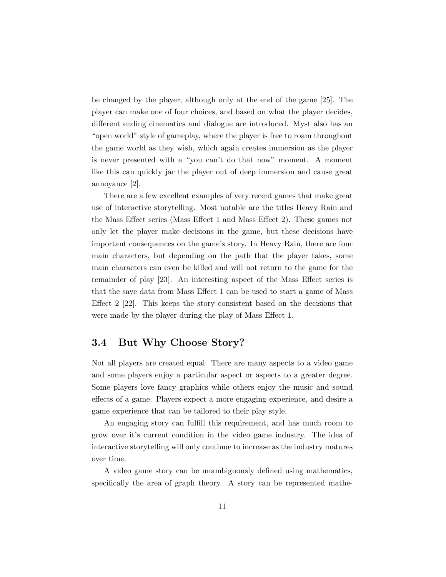be changed by the player, although only at the end of the game [25]. The player can make one of four choices, and based on what the player decides, different ending cinematics and dialogue are introduced. Myst also has an "open world" style of gameplay, where the player is free to roam throughout the game world as they wish, which again creates immersion as the player is never presented with a "you can't do that now" moment. A moment like this can quickly jar the player out of deep immersion and cause great annoyance [2].

There are a few excellent examples of very recent games that make great use of interactive storytelling. Most notable are the titles Heavy Rain and the Mass Effect series (Mass Effect 1 and Mass Effect 2). These games not only let the player make decisions in the game, but these decisions have important consequences on the game's story. In Heavy Rain, there are four main characters, but depending on the path that the player takes, some main characters can even be killed and will not return to the game for the remainder of play [23]. An interesting aspect of the Mass Effect series is that the save data from Mass Effect 1 can be used to start a game of Mass Effect 2 [22]. This keeps the story consistent based on the decisions that were made by the player during the play of Mass Effect 1.

### 3.4 But Why Choose Story?

Not all players are created equal. There are many aspects to a video game and some players enjoy a particular aspect or aspects to a greater degree. Some players love fancy graphics while others enjoy the music and sound effects of a game. Players expect a more engaging experience, and desire a game experience that can be tailored to their play style.

An engaging story can fulfill this requirement, and has much room to grow over it's current condition in the video game industry. The idea of interactive storytelling will only continue to increase as the industry matures over time.

A video game story can be unambiguously defined using mathematics, specifically the area of graph theory. A story can be represented mathe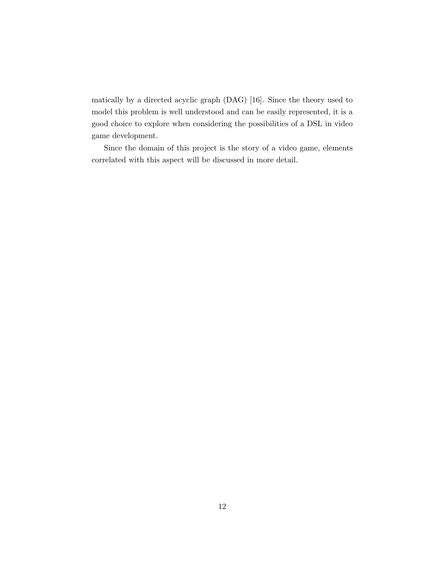matically by a directed acyclic graph (DAG) [16]. Since the theory used to model this problem is well understood and can be easily represented, it is a good choice to explore when considering the possibilities of a DSL in video game development.

Since the domain of this project is the story of a video game, elements correlated with this aspect will be discussed in more detail.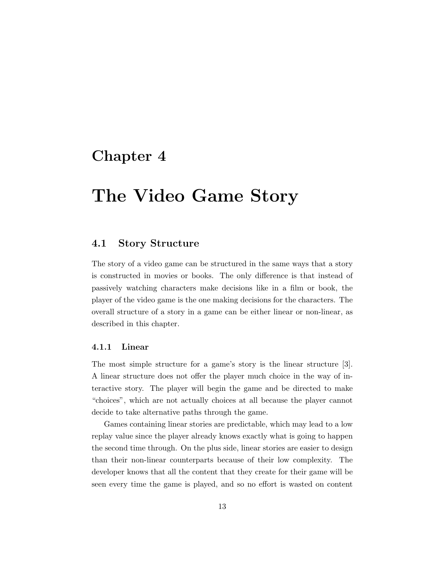## Chapter 4

## The Video Game Story

### 4.1 Story Structure

The story of a video game can be structured in the same ways that a story is constructed in movies or books. The only difference is that instead of passively watching characters make decisions like in a film or book, the player of the video game is the one making decisions for the characters. The overall structure of a story in a game can be either linear or non-linear, as described in this chapter.

#### 4.1.1 Linear

The most simple structure for a game's story is the linear structure [3]. A linear structure does not offer the player much choice in the way of interactive story. The player will begin the game and be directed to make "choices", which are not actually choices at all because the player cannot decide to take alternative paths through the game.

Games containing linear stories are predictable, which may lead to a low replay value since the player already knows exactly what is going to happen the second time through. On the plus side, linear stories are easier to design than their non-linear counterparts because of their low complexity. The developer knows that all the content that they create for their game will be seen every time the game is played, and so no effort is wasted on content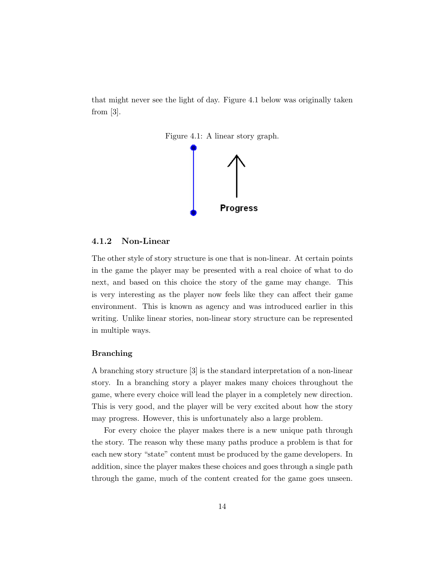that might never see the light of day. Figure 4.1 below was originally taken from [3].



#### 4.1.2 Non-Linear

The other style of story structure is one that is non-linear. At certain points in the game the player may be presented with a real choice of what to do next, and based on this choice the story of the game may change. This is very interesting as the player now feels like they can affect their game environment. This is known as agency and was introduced earlier in this writing. Unlike linear stories, non-linear story structure can be represented in multiple ways.

#### Branching

A branching story structure [3] is the standard interpretation of a non-linear story. In a branching story a player makes many choices throughout the game, where every choice will lead the player in a completely new direction. This is very good, and the player will be very excited about how the story may progress. However, this is unfortunately also a large problem.

For every choice the player makes there is a new unique path through the story. The reason why these many paths produce a problem is that for each new story "state" content must be produced by the game developers. In addition, since the player makes these choices and goes through a single path through the game, much of the content created for the game goes unseen.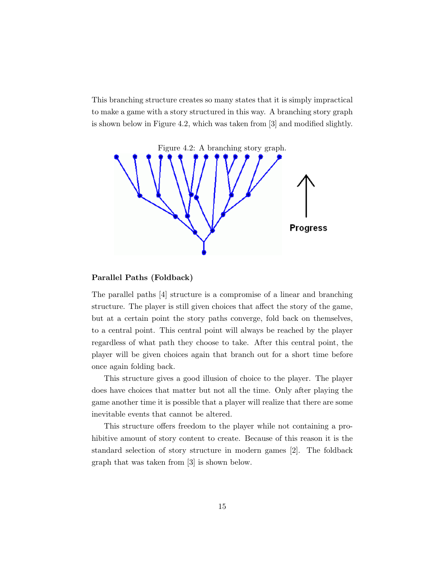This branching structure creates so many states that it is simply impractical to make a game with a story structured in this way. A branching story graph is shown below in Figure 4.2, which was taken from [3] and modified slightly.



#### Parallel Paths (Foldback)

The parallel paths [4] structure is a compromise of a linear and branching structure. The player is still given choices that affect the story of the game, but at a certain point the story paths converge, fold back on themselves, to a central point. This central point will always be reached by the player regardless of what path they choose to take. After this central point, the player will be given choices again that branch out for a short time before once again folding back.

This structure gives a good illusion of choice to the player. The player does have choices that matter but not all the time. Only after playing the game another time it is possible that a player will realize that there are some inevitable events that cannot be altered.

This structure offers freedom to the player while not containing a prohibitive amount of story content to create. Because of this reason it is the standard selection of story structure in modern games [2]. The foldback graph that was taken from [3] is shown below.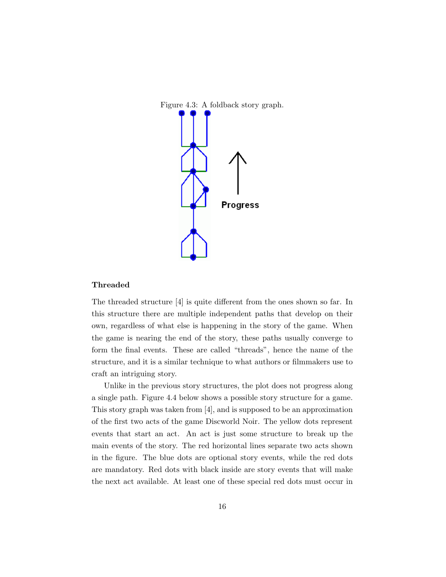



#### Threaded

The threaded structure [4] is quite different from the ones shown so far. In this structure there are multiple independent paths that develop on their own, regardless of what else is happening in the story of the game. When the game is nearing the end of the story, these paths usually converge to form the final events. These are called "threads", hence the name of the structure, and it is a similar technique to what authors or filmmakers use to craft an intriguing story.

Unlike in the previous story structures, the plot does not progress along a single path. Figure 4.4 below shows a possible story structure for a game. This story graph was taken from [4], and is supposed to be an approximation of the first two acts of the game Discworld Noir. The yellow dots represent events that start an act. An act is just some structure to break up the main events of the story. The red horizontal lines separate two acts shown in the figure. The blue dots are optional story events, while the red dots are mandatory. Red dots with black inside are story events that will make the next act available. At least one of these special red dots must occur in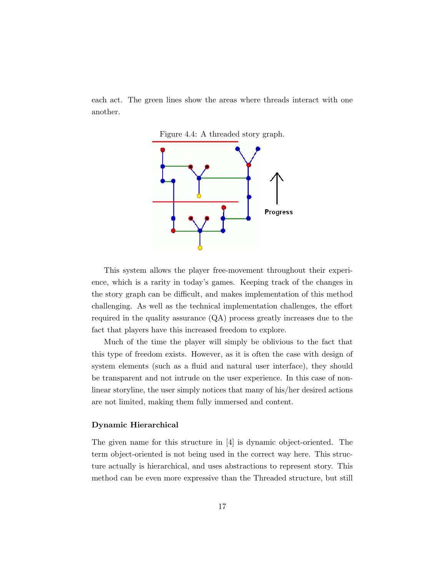each act. The green lines show the areas where threads interact with one another.





This system allows the player free-movement throughout their experience, which is a rarity in today's games. Keeping track of the changes in the story graph can be difficult, and makes implementation of this method challenging. As well as the technical implementation challenges, the effort required in the quality assurance (QA) process greatly increases due to the fact that players have this increased freedom to explore.

Much of the time the player will simply be oblivious to the fact that this type of freedom exists. However, as it is often the case with design of system elements (such as a fluid and natural user interface), they should be transparent and not intrude on the user experience. In this case of nonlinear storyline, the user simply notices that many of his/her desired actions are not limited, making them fully immersed and content.

#### Dynamic Hierarchical

The given name for this structure in [4] is dynamic object-oriented. The term object-oriented is not being used in the correct way here. This structure actually is hierarchical, and uses abstractions to represent story. This method can be even more expressive than the Threaded structure, but still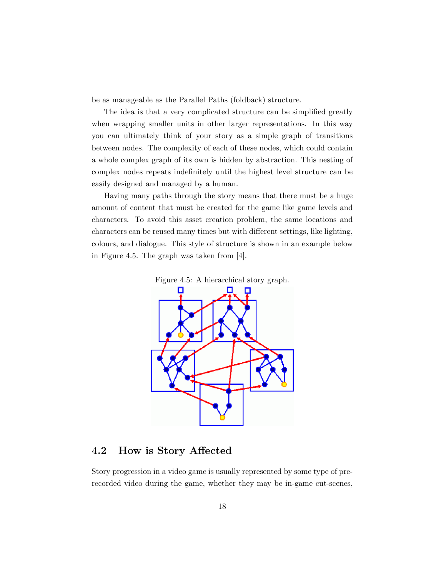be as manageable as the Parallel Paths (foldback) structure.

The idea is that a very complicated structure can be simplified greatly when wrapping smaller units in other larger representations. In this way you can ultimately think of your story as a simple graph of transitions between nodes. The complexity of each of these nodes, which could contain a whole complex graph of its own is hidden by abstraction. This nesting of complex nodes repeats indefinitely until the highest level structure can be easily designed and managed by a human.

Having many paths through the story means that there must be a huge amount of content that must be created for the game like game levels and characters. To avoid this asset creation problem, the same locations and characters can be reused many times but with different settings, like lighting, colours, and dialogue. This style of structure is shown in an example below in Figure 4.5. The graph was taken from [4].





### 4.2 How is Story Affected

Story progression in a video game is usually represented by some type of prerecorded video during the game, whether they may be in-game cut-scenes,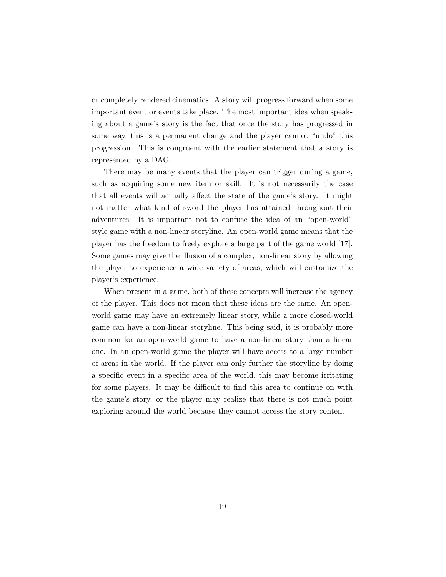or completely rendered cinematics. A story will progress forward when some important event or events take place. The most important idea when speaking about a game's story is the fact that once the story has progressed in some way, this is a permanent change and the player cannot "undo" this progression. This is congruent with the earlier statement that a story is represented by a DAG.

There may be many events that the player can trigger during a game, such as acquiring some new item or skill. It is not necessarily the case that all events will actually affect the state of the game's story. It might not matter what kind of sword the player has attained throughout their adventures. It is important not to confuse the idea of an "open-world" style game with a non-linear storyline. An open-world game means that the player has the freedom to freely explore a large part of the game world [17]. Some games may give the illusion of a complex, non-linear story by allowing the player to experience a wide variety of areas, which will customize the player's experience.

When present in a game, both of these concepts will increase the agency of the player. This does not mean that these ideas are the same. An openworld game may have an extremely linear story, while a more closed-world game can have a non-linear storyline. This being said, it is probably more common for an open-world game to have a non-linear story than a linear one. In an open-world game the player will have access to a large number of areas in the world. If the player can only further the storyline by doing a specific event in a specific area of the world, this may become irritating for some players. It may be difficult to find this area to continue on with the game's story, or the player may realize that there is not much point exploring around the world because they cannot access the story content.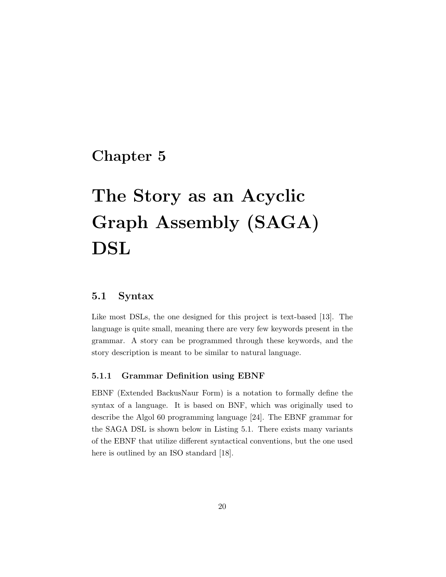### Chapter 5

# The Story as an Acyclic Graph Assembly (SAGA) DSL

### 5.1 Syntax

Like most DSLs, the one designed for this project is text-based [13]. The language is quite small, meaning there are very few keywords present in the grammar. A story can be programmed through these keywords, and the story description is meant to be similar to natural language.

#### 5.1.1 Grammar Definition using EBNF

EBNF (Extended BackusNaur Form) is a notation to formally define the syntax of a language. It is based on BNF, which was originally used to describe the Algol 60 programming language [24]. The EBNF grammar for the SAGA DSL is shown below in Listing 5.1. There exists many variants of the EBNF that utilize different syntactical conventions, but the one used here is outlined by an ISO standard [18].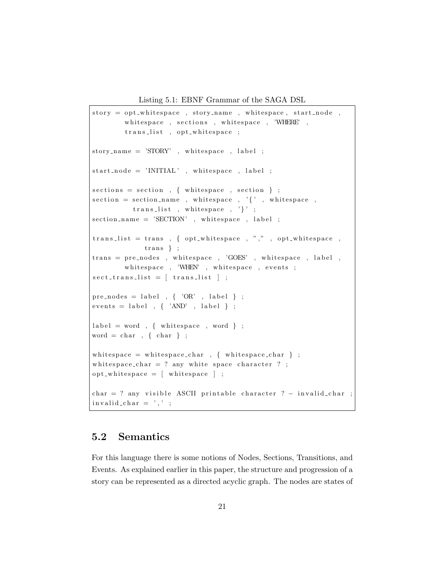Listing 5.1: EBNF Grammar of the SAGA DSL

```
story = opt_w hitespace , story_name , whitespace , stat-node ,whitespace, sections, whitespace, 'WHERE',
        trans_list , opt_whitespace ;
story_name = 'STORY' , white space , label ;
start\_node = 'INITIAL', whitespace, label;
\text{sections} = \text{section}, { white space, section };
section = section_name , whitespace , '{'', , whitespace , }trans\_list, white space, ' ;
section_name = 'SECTION', white space, label;
trans_list = trans, { opt_whitespace, ",", opt_whitespace,
             trans \t};trans = pre-nodes, whitespace, 'GOES', whitespace, label,
        white space, 'WHEN', white space, events;
\text{sect\_trans\_list} = [ \text{trans\_list} ] ;pre_nodes = label , \{ 'OR' , label \};
events = label , { 'AND' , label } ;label = word , \{ whitespace , word \} ;word = char, { char} ;
white space = white space_char , { white space_char } ;
white space_char = ? any white space character ? ;
opt_whitespace = [whitespace] ;char = ? any visible ASCII printable character ? – invalid_char ;
invality\_char = ', ',;
```
### 5.2 Semantics

For this language there is some notions of Nodes, Sections, Transitions, and Events. As explained earlier in this paper, the structure and progression of a story can be represented as a directed acyclic graph. The nodes are states of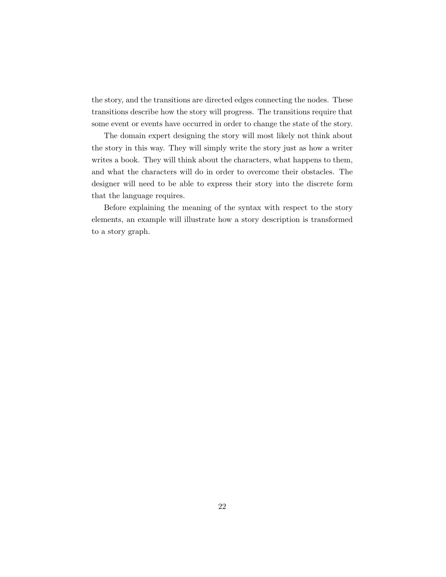the story, and the transitions are directed edges connecting the nodes. These transitions describe how the story will progress. The transitions require that some event or events have occurred in order to change the state of the story.

The domain expert designing the story will most likely not think about the story in this way. They will simply write the story just as how a writer writes a book. They will think about the characters, what happens to them, and what the characters will do in order to overcome their obstacles. The designer will need to be able to express their story into the discrete form that the language requires.

Before explaining the meaning of the syntax with respect to the story elements, an example will illustrate how a story description is transformed to a story graph.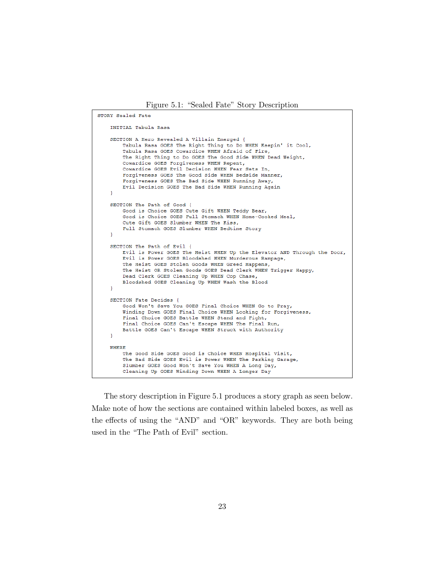Figure 5.1: "Sealed Fate" Story Description

```
STORY Sealed Fate
   INITIAL Tabula Rasa
   SECTION A Hero Revealed A Villain Emerged {
       Tabula Rasa GOES The Right Thing to Do WHEN Keepin' it Cool,
       Tabula Rasa GOES Cowardice WHEN Afraid of Fire,
       The Right Thing to Do GOES The Good Side WHEN Dead Weight,
       Cowardice GOES Forgiveness WHEN Repent,
       Cowardice GOES Evil Decision WHEN Fear Sets In,
       Forgiveness GOES The Good Side WHEN Bedside Manner,
       Forgiveness GOES The Bad Side WHEN Running Away,
       Evil Decision GOES The Bad Side WHEN Running Again
   Ą,
   SECTION The Path of Good {
       Good is Choice GOES Cute Gift WHEN Teddy Bear,
       Good is Choice GOES Full Stomach WHEN Home-Cooked Meal,
       Cute Gift GOES Slumber WHEN The Kiss.
       Full Stomach GOES Slumber WHEN Bedtime Story
   SECTION The Path of Evil {
       Evil is Power GOES The Heist WHEN Up the Elevator AND Through the Door,
       Evil is Power GOES Bloodshed WHEN Murderous Rampage,
       The Heist GOES Stolen Goods WHEN Greed Happens,
       The Heist OR Stolen Goods GOES Dead Clerk WHEN Trigger Happy,
       Dead Clerk GOES Cleaning Up WHEN Cop Chase,
       Bloodshed GOES Cleaning Up WHEN Wash the Blood
   SECTION Fate Decides {
       Good Won't Save You GOES Final Choice WHEN Go to Pray,
       Winding Down GOES Final Choice WHEN Looking for Forgiveness,
       Final Choice GOES Battle WHEN Stand and Fight,
       Final Choice GOES Can't Escape WHEN The Final Run,
       Battle GOES Can't Escape WHEN Struck with Authority
   \mathbf{I}WHERE
       The Good Side GOES Good is Choice WHEN Hospital Visit,
       The Bad Side GOES Evil is Power WHEN The Parking Garage,
       Slumber GOES Good Won't Save You WHEN A Long Day,
       Cleaning Up GOES Winding Down WHEN A Longer Day
```
The story description in Figure 5.1 produces a story graph as seen below. Make note of how the sections are contained within labeled boxes, as well as the effects of using the "AND" and "OR" keywords. They are both being used in the "The Path of Evil" section.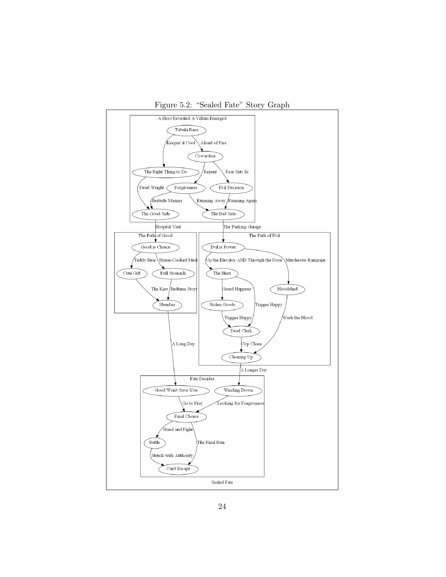

Figure 5.2: "Sealed Fate" Story Graph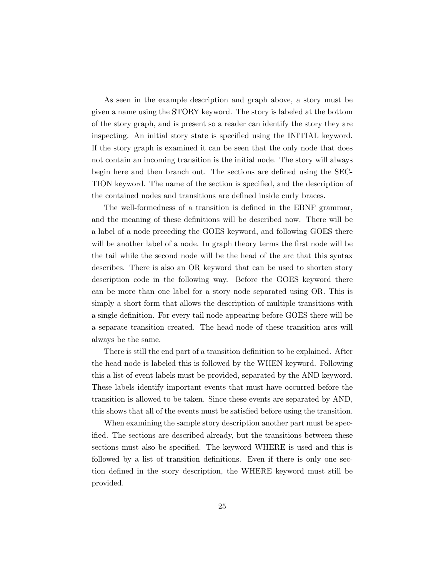As seen in the example description and graph above, a story must be given a name using the STORY keyword. The story is labeled at the bottom of the story graph, and is present so a reader can identify the story they are inspecting. An initial story state is specified using the INITIAL keyword. If the story graph is examined it can be seen that the only node that does not contain an incoming transition is the initial node. The story will always begin here and then branch out. The sections are defined using the SEC-TION keyword. The name of the section is specified, and the description of the contained nodes and transitions are defined inside curly braces.

The well-formedness of a transition is defined in the EBNF grammar, and the meaning of these definitions will be described now. There will be a label of a node preceding the GOES keyword, and following GOES there will be another label of a node. In graph theory terms the first node will be the tail while the second node will be the head of the arc that this syntax describes. There is also an OR keyword that can be used to shorten story description code in the following way. Before the GOES keyword there can be more than one label for a story node separated using OR. This is simply a short form that allows the description of multiple transitions with a single definition. For every tail node appearing before GOES there will be a separate transition created. The head node of these transition arcs will always be the same.

There is still the end part of a transition definition to be explained. After the head node is labeled this is followed by the WHEN keyword. Following this a list of event labels must be provided, separated by the AND keyword. These labels identify important events that must have occurred before the transition is allowed to be taken. Since these events are separated by AND, this shows that all of the events must be satisfied before using the transition.

When examining the sample story description another part must be specified. The sections are described already, but the transitions between these sections must also be specified. The keyword WHERE is used and this is followed by a list of transition definitions. Even if there is only one section defined in the story description, the WHERE keyword must still be provided.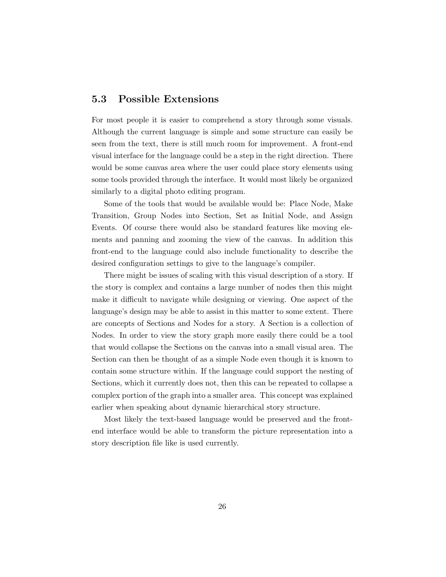### 5.3 Possible Extensions

For most people it is easier to comprehend a story through some visuals. Although the current language is simple and some structure can easily be seen from the text, there is still much room for improvement. A front-end visual interface for the language could be a step in the right direction. There would be some canvas area where the user could place story elements using some tools provided through the interface. It would most likely be organized similarly to a digital photo editing program.

Some of the tools that would be available would be: Place Node, Make Transition, Group Nodes into Section, Set as Initial Node, and Assign Events. Of course there would also be standard features like moving elements and panning and zooming the view of the canvas. In addition this front-end to the language could also include functionality to describe the desired configuration settings to give to the language's compiler.

There might be issues of scaling with this visual description of a story. If the story is complex and contains a large number of nodes then this might make it difficult to navigate while designing or viewing. One aspect of the language's design may be able to assist in this matter to some extent. There are concepts of Sections and Nodes for a story. A Section is a collection of Nodes. In order to view the story graph more easily there could be a tool that would collapse the Sections on the canvas into a small visual area. The Section can then be thought of as a simple Node even though it is known to contain some structure within. If the language could support the nesting of Sections, which it currently does not, then this can be repeated to collapse a complex portion of the graph into a smaller area. This concept was explained earlier when speaking about dynamic hierarchical story structure.

Most likely the text-based language would be preserved and the frontend interface would be able to transform the picture representation into a story description file like is used currently.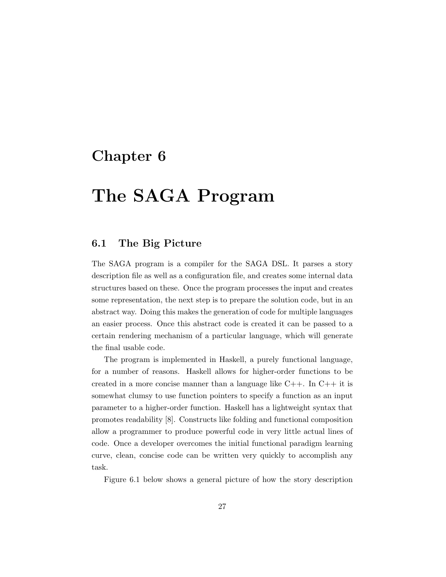## Chapter 6

## The SAGA Program

### 6.1 The Big Picture

The SAGA program is a compiler for the SAGA DSL. It parses a story description file as well as a configuration file, and creates some internal data structures based on these. Once the program processes the input and creates some representation, the next step is to prepare the solution code, but in an abstract way. Doing this makes the generation of code for multiple languages an easier process. Once this abstract code is created it can be passed to a certain rendering mechanism of a particular language, which will generate the final usable code.

The program is implemented in Haskell, a purely functional language, for a number of reasons. Haskell allows for higher-order functions to be created in a more concise manner than a language like  $C_{++}$ . In  $C_{++}$  it is somewhat clumsy to use function pointers to specify a function as an input parameter to a higher-order function. Haskell has a lightweight syntax that promotes readability [8]. Constructs like folding and functional composition allow a programmer to produce powerful code in very little actual lines of code. Once a developer overcomes the initial functional paradigm learning curve, clean, concise code can be written very quickly to accomplish any task.

Figure 6.1 below shows a general picture of how the story description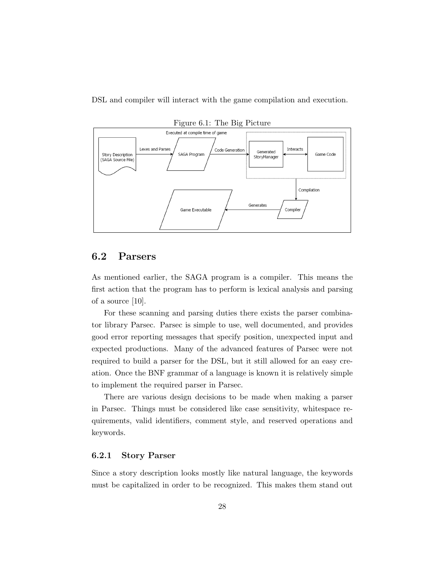DSL and compiler will interact with the game compilation and execution.



Figure 6.1: The Big Picture

### 6.2 Parsers

As mentioned earlier, the SAGA program is a compiler. This means the first action that the program has to perform is lexical analysis and parsing of a source [10].

For these scanning and parsing duties there exists the parser combinator library Parsec. Parsec is simple to use, well documented, and provides good error reporting messages that specify position, unexpected input and expected productions. Many of the advanced features of Parsec were not required to build a parser for the DSL, but it still allowed for an easy creation. Once the BNF grammar of a language is known it is relatively simple to implement the required parser in Parsec.

There are various design decisions to be made when making a parser in Parsec. Things must be considered like case sensitivity, whitespace requirements, valid identifiers, comment style, and reserved operations and keywords.

#### 6.2.1 Story Parser

Since a story description looks mostly like natural language, the keywords must be capitalized in order to be recognized. This makes them stand out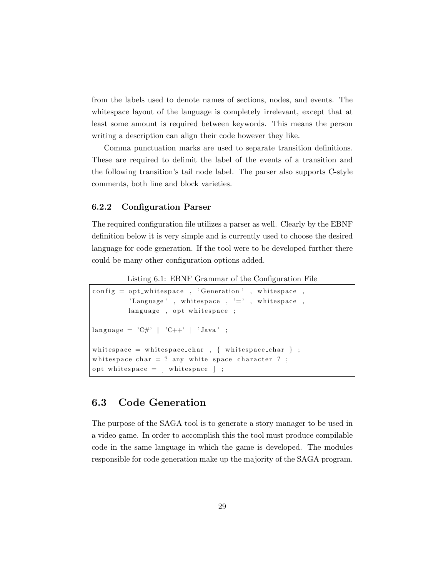from the labels used to denote names of sections, nodes, and events. The whitespace layout of the language is completely irrelevant, except that at least some amount is required between keywords. This means the person writing a description can align their code however they like.

Comma punctuation marks are used to separate transition definitions. These are required to delimit the label of the events of a transition and the following transition's tail node label. The parser also supports C-style comments, both line and block varieties.

#### 6.2.2 Configuration Parser

The required configuration file utilizes a parser as well. Clearly by the EBNF definition below it is very simple and is currently used to choose the desired language for code generation. If the tool were to be developed further there could be many other configuration options added.

Listing 6.1: EBNF Grammar of the Configuration File

```
config = opt\_whitespace , 'Generation' , whitespace ,'Language' , white space , '=' , white space ,
         language, opt_whitespace;
language = 'C#' | 'C++' | 'Java' ;
white space = white space_char , { white space_char } ;
white space_char = ? any white space character ? ;
opt_whitspace = [whitspace];
```
### 6.3 Code Generation

The purpose of the SAGA tool is to generate a story manager to be used in a video game. In order to accomplish this the tool must produce compilable code in the same language in which the game is developed. The modules responsible for code generation make up the majority of the SAGA program.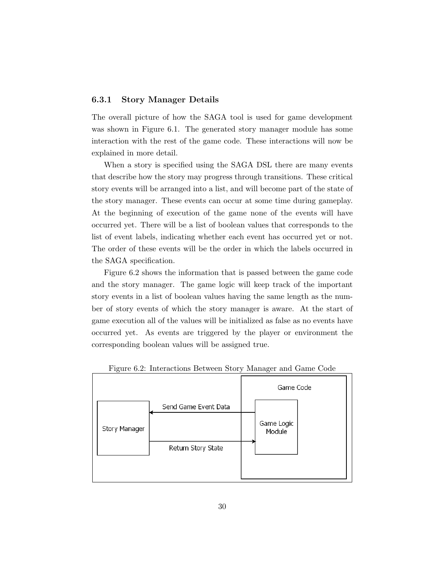#### 6.3.1 Story Manager Details

The overall picture of how the SAGA tool is used for game development was shown in Figure 6.1. The generated story manager module has some interaction with the rest of the game code. These interactions will now be explained in more detail.

When a story is specified using the SAGA DSL there are many events that describe how the story may progress through transitions. These critical story events will be arranged into a list, and will become part of the state of the story manager. These events can occur at some time during gameplay. At the beginning of execution of the game none of the events will have occurred yet. There will be a list of boolean values that corresponds to the list of event labels, indicating whether each event has occurred yet or not. The order of these events will be the order in which the labels occurred in the SAGA specification.

Figure 6.2 shows the information that is passed between the game code and the story manager. The game logic will keep track of the important story events in a list of boolean values having the same length as the number of story events of which the story manager is aware. At the start of game execution all of the values will be initialized as false as no events have occurred yet. As events are triggered by the player or environment the corresponding boolean values will be assigned true.



Figure 6.2: Interactions Between Story Manager and Game Code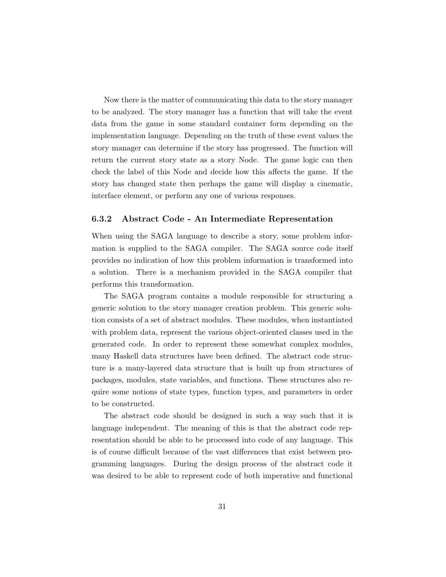Now there is the matter of communicating this data to the story manager to be analyzed. The story manager has a function that will take the event data from the game in some standard container form depending on the implementation language. Depending on the truth of these event values the story manager can determine if the story has progressed. The function will return the current story state as a story Node. The game logic can then check the label of this Node and decide how this affects the game. If the story has changed state then perhaps the game will display a cinematic, interface element, or perform any one of various responses.

#### 6.3.2 Abstract Code - An Intermediate Representation

When using the SAGA language to describe a story, some problem information is supplied to the SAGA compiler. The SAGA source code itself provides no indication of how this problem information is transformed into a solution. There is a mechanism provided in the SAGA compiler that performs this transformation.

The SAGA program contains a module responsible for structuring a generic solution to the story manager creation problem. This generic solution consists of a set of abstract modules. These modules, when instantiated with problem data, represent the various object-oriented classes used in the generated code. In order to represent these somewhat complex modules, many Haskell data structures have been defined. The abstract code structure is a many-layered data structure that is built up from structures of packages, modules, state variables, and functions. These structures also require some notions of state types, function types, and parameters in order to be constructed.

The abstract code should be designed in such a way such that it is language independent. The meaning of this is that the abstract code representation should be able to be processed into code of any language. This is of course difficult because of the vast differences that exist between programming languages. During the design process of the abstract code it was desired to be able to represent code of both imperative and functional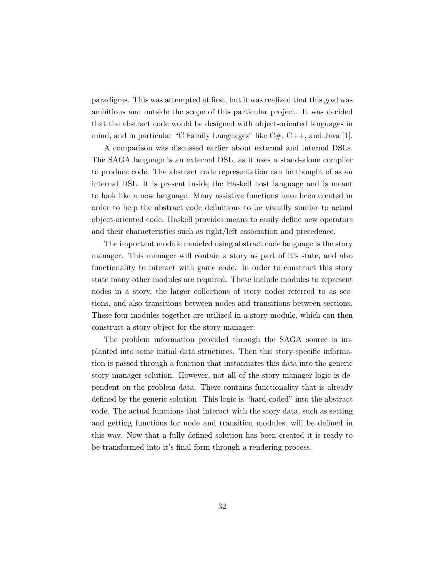paradigms. This was attempted at first, but it was realized that this goal was ambitious and outside the scope of this particular project. It was decided that the abstract code would be designed with object-oriented languages in mind, and in particular "C Family Languages" like  $C#$ ,  $C++$ , and Java [1].

A comparison was discussed earlier about external and internal DSLs. The SAGA language is an external DSL, as it uses a stand-alone compiler to produce code. The abstract code representation can be thought of as an internal DSL. It is present inside the Haskell host language and is meant to look like a new language. Many assistive functions have been created in order to help the abstract code definitions to be visually similar to actual object-oriented code. Haskell provides means to easily define new operators and their characteristics such as right/left association and precedence.

The important module modeled using abstract code language is the story manager. This manager will contain a story as part of it's state, and also functionality to interact with game code. In order to construct this story state many other modules are required. These include modules to represent nodes in a story, the larger collections of story nodes referred to as sections, and also transitions between nodes and transitions between sections. These four modules together are utilized in a story module, which can then construct a story object for the story manager.

The problem information provided through the SAGA source is implanted into some initial data structures. Then this story-specific information is passed through a function that instantiates this data into the generic story manager solution. However, not all of the story manager logic is dependent on the problem data. There contains functionality that is already defined by the generic solution. This logic is "hard-coded" into the abstract code. The actual functions that interact with the story data, such as setting and getting functions for node and transition modules, will be defined in this way. Now that a fully defined solution has been created it is ready to be transformed into it's final form through a rendering process.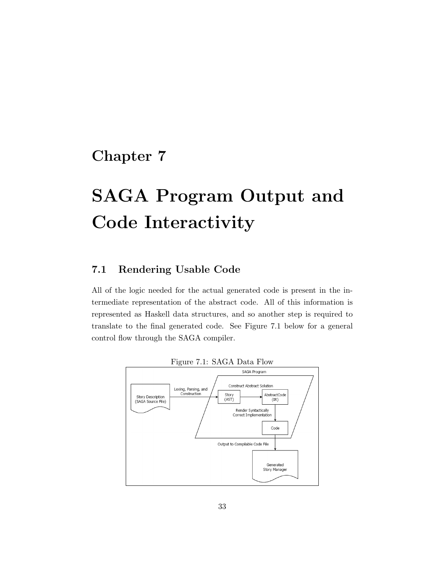## Chapter 7

# SAGA Program Output and Code Interactivity

### 7.1 Rendering Usable Code

All of the logic needed for the actual generated code is present in the intermediate representation of the abstract code. All of this information is represented as Haskell data structures, and so another step is required to translate to the final generated code. See Figure 7.1 below for a general control flow through the SAGA compiler.



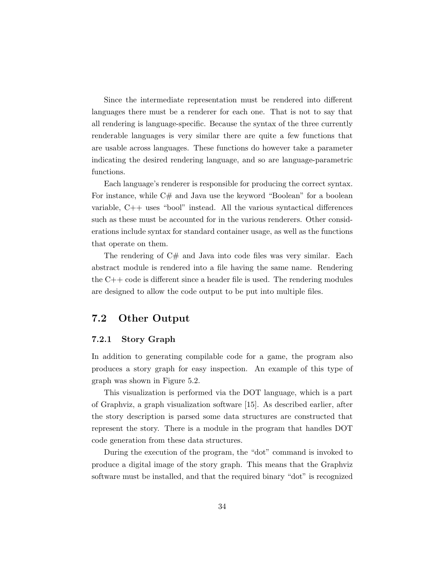Since the intermediate representation must be rendered into different languages there must be a renderer for each one. That is not to say that all rendering is language-specific. Because the syntax of the three currently renderable languages is very similar there are quite a few functions that are usable across languages. These functions do however take a parameter indicating the desired rendering language, and so are language-parametric functions.

Each language's renderer is responsible for producing the correct syntax. For instance, while C# and Java use the keyword "Boolean" for a boolean variable, C++ uses "bool" instead. All the various syntactical differences such as these must be accounted for in the various renderers. Other considerations include syntax for standard container usage, as well as the functions that operate on them.

The rendering of  $C#$  and Java into code files was very similar. Each abstract module is rendered into a file having the same name. Rendering the  $C++$  code is different since a header file is used. The rendering modules are designed to allow the code output to be put into multiple files.

### 7.2 Other Output

#### 7.2.1 Story Graph

In addition to generating compilable code for a game, the program also produces a story graph for easy inspection. An example of this type of graph was shown in Figure 5.2.

This visualization is performed via the DOT language, which is a part of Graphviz, a graph visualization software [15]. As described earlier, after the story description is parsed some data structures are constructed that represent the story. There is a module in the program that handles DOT code generation from these data structures.

During the execution of the program, the "dot" command is invoked to produce a digital image of the story graph. This means that the Graphviz software must be installed, and that the required binary "dot" is recognized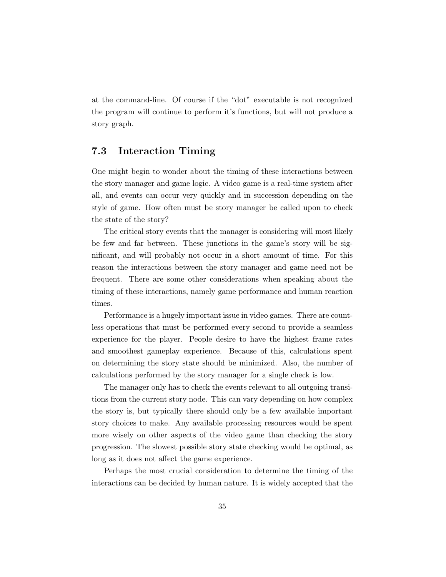at the command-line. Of course if the "dot" executable is not recognized the program will continue to perform it's functions, but will not produce a story graph.

### 7.3 Interaction Timing

One might begin to wonder about the timing of these interactions between the story manager and game logic. A video game is a real-time system after all, and events can occur very quickly and in succession depending on the style of game. How often must be story manager be called upon to check the state of the story?

The critical story events that the manager is considering will most likely be few and far between. These junctions in the game's story will be significant, and will probably not occur in a short amount of time. For this reason the interactions between the story manager and game need not be frequent. There are some other considerations when speaking about the timing of these interactions, namely game performance and human reaction times.

Performance is a hugely important issue in video games. There are countless operations that must be performed every second to provide a seamless experience for the player. People desire to have the highest frame rates and smoothest gameplay experience. Because of this, calculations spent on determining the story state should be minimized. Also, the number of calculations performed by the story manager for a single check is low.

The manager only has to check the events relevant to all outgoing transitions from the current story node. This can vary depending on how complex the story is, but typically there should only be a few available important story choices to make. Any available processing resources would be spent more wisely on other aspects of the video game than checking the story progression. The slowest possible story state checking would be optimal, as long as it does not affect the game experience.

Perhaps the most crucial consideration to determine the timing of the interactions can be decided by human nature. It is widely accepted that the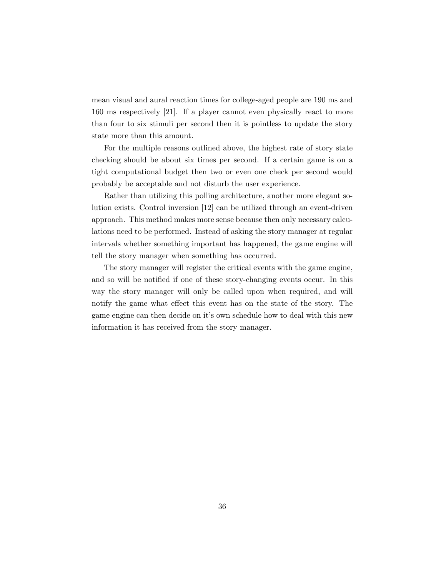mean visual and aural reaction times for college-aged people are 190 ms and 160 ms respectively [21]. If a player cannot even physically react to more than four to six stimuli per second then it is pointless to update the story state more than this amount.

For the multiple reasons outlined above, the highest rate of story state checking should be about six times per second. If a certain game is on a tight computational budget then two or even one check per second would probably be acceptable and not disturb the user experience.

Rather than utilizing this polling architecture, another more elegant solution exists. Control inversion [12] can be utilized through an event-driven approach. This method makes more sense because then only necessary calculations need to be performed. Instead of asking the story manager at regular intervals whether something important has happened, the game engine will tell the story manager when something has occurred.

The story manager will register the critical events with the game engine, and so will be notified if one of these story-changing events occur. In this way the story manager will only be called upon when required, and will notify the game what effect this event has on the state of the story. The game engine can then decide on it's own schedule how to deal with this new information it has received from the story manager.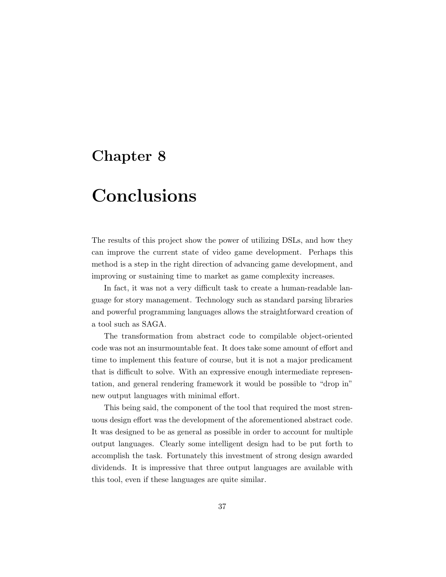## Chapter 8

## Conclusions

The results of this project show the power of utilizing DSLs, and how they can improve the current state of video game development. Perhaps this method is a step in the right direction of advancing game development, and improving or sustaining time to market as game complexity increases.

In fact, it was not a very difficult task to create a human-readable language for story management. Technology such as standard parsing libraries and powerful programming languages allows the straightforward creation of a tool such as SAGA.

The transformation from abstract code to compilable object-oriented code was not an insurmountable feat. It does take some amount of effort and time to implement this feature of course, but it is not a major predicament that is difficult to solve. With an expressive enough intermediate representation, and general rendering framework it would be possible to "drop in" new output languages with minimal effort.

This being said, the component of the tool that required the most strenuous design effort was the development of the aforementioned abstract code. It was designed to be as general as possible in order to account for multiple output languages. Clearly some intelligent design had to be put forth to accomplish the task. Fortunately this investment of strong design awarded dividends. It is impressive that three output languages are available with this tool, even if these languages are quite similar.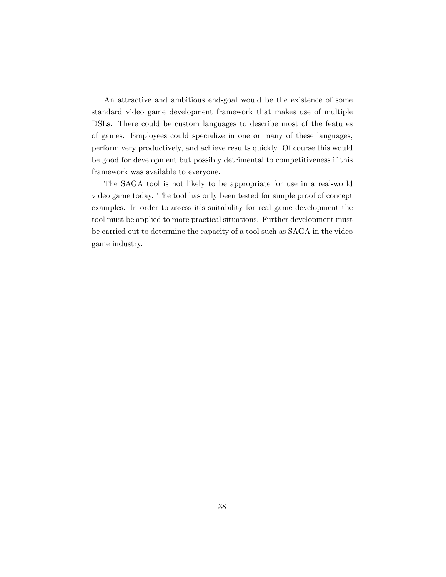An attractive and ambitious end-goal would be the existence of some standard video game development framework that makes use of multiple DSLs. There could be custom languages to describe most of the features of games. Employees could specialize in one or many of these languages, perform very productively, and achieve results quickly. Of course this would be good for development but possibly detrimental to competitiveness if this framework was available to everyone.

The SAGA tool is not likely to be appropriate for use in a real-world video game today. The tool has only been tested for simple proof of concept examples. In order to assess it's suitability for real game development the tool must be applied to more practical situations. Further development must be carried out to determine the capacity of a tool such as SAGA in the video game industry.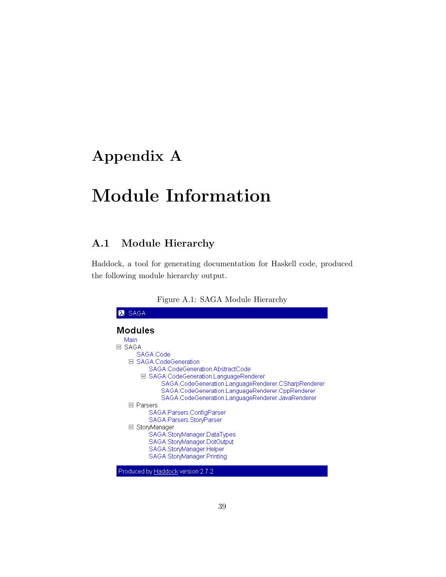## Appendix A

## Module Information

### A.1 Module Hierarchy

Haddock, a tool for generating documentation for Haskell code, produced the following module hierarchy output.

| <b>SAGA</b>                                         |  |  |  |
|-----------------------------------------------------|--|--|--|
| <b>Modules</b><br>Main                              |  |  |  |
| -SAGA<br>$\overline{\phantom{0}}$                   |  |  |  |
| SAGA.Code                                           |  |  |  |
| 日 SAGA.CodeGeneration                               |  |  |  |
| SAGA.CodeGeneration.AbstractCode                    |  |  |  |
| ⊟ SAGA.CodeGeneration.LanguageRenderer              |  |  |  |
| SAGA.CodeGeneration.LanguageRenderer.CSharpRenderer |  |  |  |
| SAGA.CodeGeneration.LanguageRenderer.CppRenderer    |  |  |  |
| SAGA.CodeGeneration.LanguageRenderer.JavaRenderer   |  |  |  |
| □ Parsers                                           |  |  |  |
| SAGA.Parsers.ConfigParser                           |  |  |  |
| SAGA.Parsers.StoryParser                            |  |  |  |
| □ StoryManager                                      |  |  |  |
| SAGA.StoryManager.DataTypes                         |  |  |  |
| SAGA.StoryManager.DotOutput                         |  |  |  |
| SAGA.StoryManager.Helper                            |  |  |  |
| SAGA.StoryManager.Printing                          |  |  |  |
|                                                     |  |  |  |
| Produced by Haddock version 2.7.2                   |  |  |  |

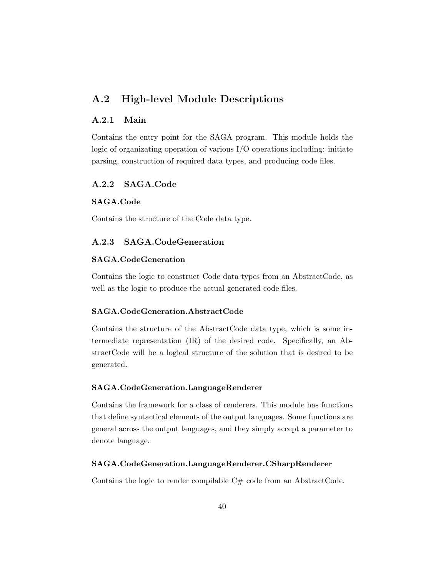### A.2 High-level Module Descriptions

#### A.2.1 Main

Contains the entry point for the SAGA program. This module holds the logic of organizating operation of various I/O operations including: initiate parsing, construction of required data types, and producing code files.

#### A.2.2 SAGA.Code

#### SAGA.Code

Contains the structure of the Code data type.

#### A.2.3 SAGA.CodeGeneration

#### SAGA.CodeGeneration

Contains the logic to construct Code data types from an AbstractCode, as well as the logic to produce the actual generated code files.

#### SAGA.CodeGeneration.AbstractCode

Contains the structure of the AbstractCode data type, which is some intermediate representation (IR) of the desired code. Specifically, an AbstractCode will be a logical structure of the solution that is desired to be generated.

#### SAGA.CodeGeneration.LanguageRenderer

Contains the framework for a class of renderers. This module has functions that define syntactical elements of the output languages. Some functions are general across the output languages, and they simply accept a parameter to denote language.

#### SAGA.CodeGeneration.LanguageRenderer.CSharpRenderer

Contains the logic to render compilable  $C#$  code from an AbstractCode.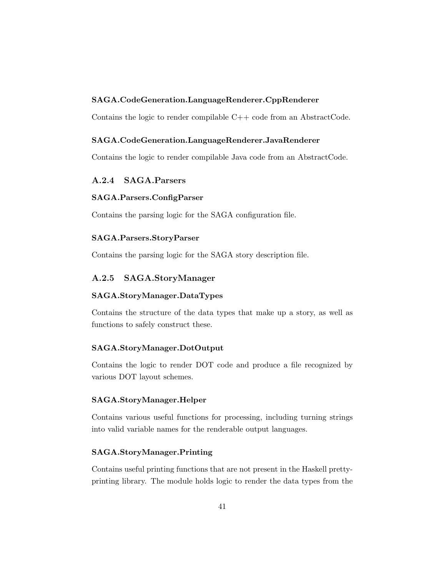#### SAGA.CodeGeneration.LanguageRenderer.CppRenderer

Contains the logic to render compilable  $C++$  code from an AbstractCode.

#### SAGA.CodeGeneration.LanguageRenderer.JavaRenderer

Contains the logic to render compilable Java code from an AbstractCode.

#### A.2.4 SAGA.Parsers

#### SAGA.Parsers.ConfigParser

Contains the parsing logic for the SAGA configuration file.

#### SAGA.Parsers.StoryParser

Contains the parsing logic for the SAGA story description file.

#### A.2.5 SAGA.StoryManager

#### SAGA.StoryManager.DataTypes

Contains the structure of the data types that make up a story, as well as functions to safely construct these.

#### SAGA.StoryManager.DotOutput

Contains the logic to render DOT code and produce a file recognized by various DOT layout schemes.

#### SAGA.StoryManager.Helper

Contains various useful functions for processing, including turning strings into valid variable names for the renderable output languages.

#### SAGA.StoryManager.Printing

Contains useful printing functions that are not present in the Haskell prettyprinting library. The module holds logic to render the data types from the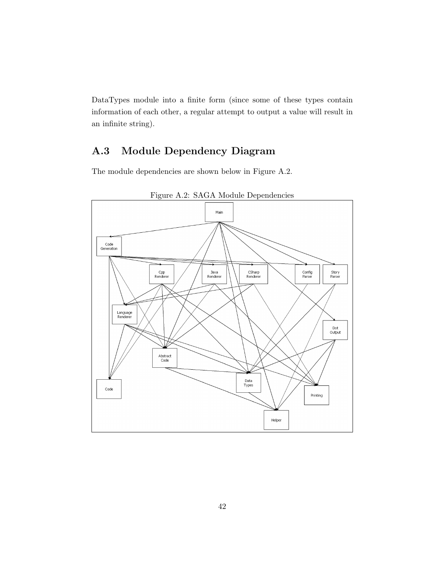DataTypes module into a finite form (since some of these types contain information of each other, a regular attempt to output a value will result in an infinite string).

### A.3 Module Dependency Diagram

The module dependencies are shown below in Figure A.2.



Figure A.2: SAGA Module Dependencies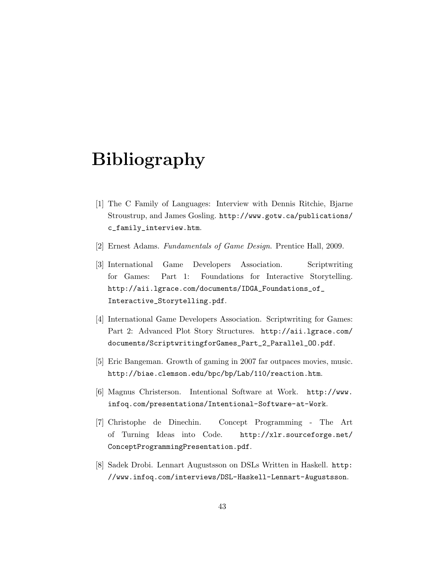## Bibliography

- [1] The C Family of Languages: Interview with Dennis Ritchie, Bjarne Stroustrup, and James Gosling. http://www.gotw.ca/publications/ c\_family\_interview.htm.
- [2] Ernest Adams. Fundamentals of Game Design. Prentice Hall, 2009.
- [3] International Game Developers Association. Scriptwriting for Games: Part 1: Foundations for Interactive Storytelling. http://aii.lgrace.com/documents/IDGA\_Foundations\_of\_ Interactive\_Storytelling.pdf.
- [4] International Game Developers Association. Scriptwriting for Games: Part 2: Advanced Plot Story Structures. http://aii.lgrace.com/ documents/ScriptwritingforGames\_Part\_2\_Parallel\_OO.pdf.
- [5] Eric Bangeman. Growth of gaming in 2007 far outpaces movies, music. http://biae.clemson.edu/bpc/bp/Lab/110/reaction.htm.
- [6] Magnus Christerson. Intentional Software at Work. http://www. infoq.com/presentations/Intentional-Software-at-Work.
- [7] Christophe de Dinechin. Concept Programming The Art of Turning Ideas into Code. http://xlr.sourceforge.net/ ConceptProgrammingPresentation.pdf.
- [8] Sadek Drobi. Lennart Augustsson on DSLs Written in Haskell. http: //www.infoq.com/interviews/DSL-Haskell-Lennart-Augustsson.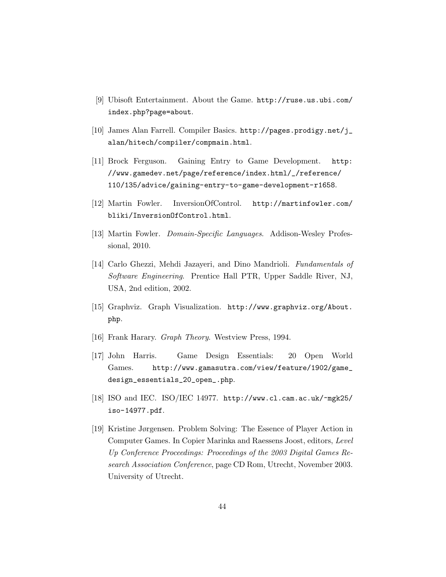- [9] Ubisoft Entertainment. About the Game. http://ruse.us.ubi.com/ index.php?page=about.
- [10] James Alan Farrell. Compiler Basics. http://pages.prodigy.net/j\_ alan/hitech/compiler/compmain.html.
- [11] Brock Ferguson. Gaining Entry to Game Development. http: //www.gamedev.net/page/reference/index.html/\_/reference/ 110/135/advice/gaining-entry-to-game-development-r1658.
- [12] Martin Fowler. InversionOfControl. http://martinfowler.com/ bliki/InversionOfControl.html.
- [13] Martin Fowler. *Domain-Specific Languages*. Addison-Wesley Professional, 2010.
- [14] Carlo Ghezzi, Mehdi Jazayeri, and Dino Mandrioli. Fundamentals of Software Engineering. Prentice Hall PTR, Upper Saddle River, NJ, USA, 2nd edition, 2002.
- [15] Graphviz. Graph Visualization. http://www.graphviz.org/About. php.
- [16] Frank Harary. Graph Theory. Westview Press, 1994.
- [17] John Harris. Game Design Essentials: 20 Open World Games. http://www.gamasutra.com/view/feature/1902/game\_ design\_essentials\_20\_open\_.php.
- [18] ISO and IEC. ISO/IEC 14977. http://www.cl.cam.ac.uk/~mgk25/ iso-14977.pdf.
- [19] Kristine Jørgensen. Problem Solving: The Essence of Player Action in Computer Games. In Copier Marinka and Raessens Joost, editors, Level Up Conference Proceedings: Proceedings of the 2003 Digital Games Research Association Conference, page CD Rom, Utrecht, November 2003. University of Utrecht.